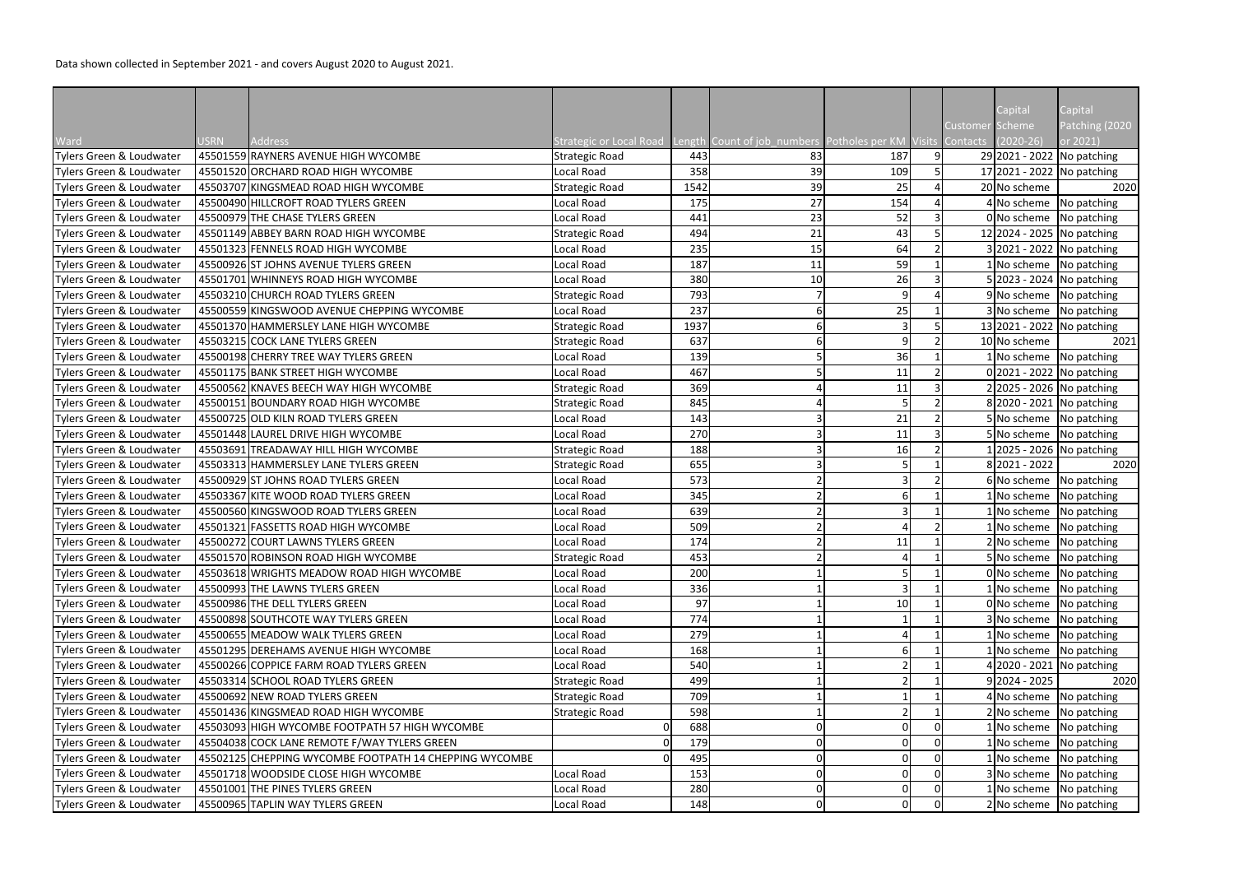|                          |             |                                                        |                                                                                     |      |    |     |                 | Capital                     | Capital                    |
|--------------------------|-------------|--------------------------------------------------------|-------------------------------------------------------------------------------------|------|----|-----|-----------------|-----------------------------|----------------------------|
|                          |             |                                                        |                                                                                     |      |    |     | Customer Scheme |                             | Patching (2020             |
| Ward                     | <b>USRN</b> | <b>Address</b>                                         | Strategic or Local Road Length Count of job_numbers Potholes per KM Visits Contacts |      |    |     |                 | $(2020-26)$                 | or 2021)                   |
| Tylers Green & Loudwater |             | 45501559 RAYNERS AVENUE HIGH WYCOMBE                   | <b>Strategic Road</b>                                                               | 443  | 83 | 187 |                 | 29 2021 - 2022 No patching  |                            |
| Tylers Green & Loudwater |             | 45501520 ORCHARD ROAD HIGH WYCOMBE                     | Local Road                                                                          | 358  | 39 | 109 |                 |                             | 17 2021 - 2022 No patching |
| Tylers Green & Loudwater |             | 45503707 KINGSMEAD ROAD HIGH WYCOMBE                   | <b>Strategic Road</b>                                                               | 1542 | 39 | 25  |                 | 20 No scheme                | 2020                       |
| Tylers Green & Loudwater |             | 45500490 HILLCROFT ROAD TYLERS GREEN                   | Local Road                                                                          | 175  | 27 | 154 |                 | 4 No scheme                 | No patching                |
| Tylers Green & Loudwater |             | 45500979 THE CHASE TYLERS GREEN                        | Local Road                                                                          | 441  | 23 | 52  |                 | 0 No scheme                 | No patching                |
| Tylers Green & Loudwater |             | 45501149 ABBEY BARN ROAD HIGH WYCOMBE                  | <b>Strategic Road</b>                                                               | 494  | 21 | 43  |                 | 12 2024 - 2025 No patching  |                            |
| Tylers Green & Loudwater |             | 45501323 FENNELS ROAD HIGH WYCOMBE                     | Local Road                                                                          | 235  | 15 | 64  |                 | 3 2021 - 2022 No patching   |                            |
| Tylers Green & Loudwater |             | 45500926 ST JOHNS AVENUE TYLERS GREEN                  | Local Road                                                                          | 187  | 11 | 59  |                 |                             | 1 No scheme No patching    |
| Tylers Green & Loudwater |             | 45501701 WHINNEYS ROAD HIGH WYCOMBE                    | Local Road                                                                          | 380  | 10 | 26  |                 | 5 2023 - 2024 No patching   |                            |
| Tylers Green & Loudwater |             | 45503210 CHURCH ROAD TYLERS GREEN                      | <b>Strategic Road</b>                                                               | 793  |    | 9   |                 | 9 No scheme                 | No patching                |
| Tylers Green & Loudwater |             | 45500559 KINGSWOOD AVENUE CHEPPING WYCOMBE             | Local Road                                                                          | 237  |    | 25  |                 | 3 No scheme                 | No patching                |
| Tylers Green & Loudwater |             | 45501370 HAMMERSLEY LANE HIGH WYCOMBE                  | <b>Strategic Road</b>                                                               | 1937 |    | 3   |                 |                             | 13 2021 - 2022 No patching |
| Tylers Green & Loudwater |             | 45503215 COCK LANE TYLERS GREEN                        | <b>Strategic Road</b>                                                               | 637  |    | q   |                 | 10 No scheme                | 2021                       |
| Tylers Green & Loudwater |             | 45500198 CHERRY TREE WAY TYLERS GREEN                  | Local Road                                                                          | 139  |    | 36  |                 | 1 No scheme                 | No patching                |
| Tylers Green & Loudwater |             | 45501175 BANK STREET HIGH WYCOMBE                      | Local Road                                                                          | 467  |    | 11  |                 |                             | 0 2021 - 2022 No patching  |
| Tylers Green & Loudwater |             | 45500562 KNAVES BEECH WAY HIGH WYCOMBE                 | <b>Strategic Road</b>                                                               | 369  |    | 11  |                 | 2 2025 - 2026 No patching   |                            |
| Tylers Green & Loudwater |             | 45500151 BOUNDARY ROAD HIGH WYCOMBE                    | <b>Strategic Road</b>                                                               | 845  |    |     |                 |                             | 8 2020 - 2021 No patching  |
| Tylers Green & Loudwater |             | 45500725 OLD KILN ROAD TYLERS GREEN                    | Local Road                                                                          | 143  |    | 21  |                 | 5 No scheme No patching     |                            |
| Tylers Green & Loudwater |             | 45501448 LAUREL DRIVE HIGH WYCOMBE                     | Local Road                                                                          | 270  |    | 11  |                 | 5 No scheme                 | No patching                |
| Tylers Green & Loudwater |             | 45503691 TREADAWAY HILL HIGH WYCOMBE                   | <b>Strategic Road</b>                                                               | 188  |    | 16  |                 | 1 2025 - 2026   No patching |                            |
| Tylers Green & Loudwater |             | 45503313 HAMMERSLEY LANE TYLERS GREEN                  | <b>Strategic Road</b>                                                               | 655  |    |     |                 | $8 2021 - 2022$             | 2020                       |
| Tylers Green & Loudwater |             | 45500929 ST JOHNS ROAD TYLERS GREEN                    | <b>Local Road</b>                                                                   | 573  |    |     |                 | 6 No scheme                 | No patching                |
| Tylers Green & Loudwater |             | 45503367 KITE WOOD ROAD TYLERS GREEN                   | Local Road                                                                          | 345  |    | 6   |                 | 1 No scheme                 | No patching                |
| Tylers Green & Loudwater |             | 45500560 KINGSWOOD ROAD TYLERS GREEN                   | Local Road                                                                          | 639  |    |     |                 | 1 No scheme                 | No patching                |
| Tylers Green & Loudwater |             | 45501321 FASSETTS ROAD HIGH WYCOMBE                    | Local Road                                                                          | 509  |    |     |                 | 1 No scheme                 | No patching                |
| Tylers Green & Loudwater |             | 45500272 COURT LAWNS TYLERS GREEN                      | <b>Local Road</b>                                                                   | 174  |    | 11  |                 | 2 No scheme No patching     |                            |
| Tylers Green & Loudwater |             | 45501570 ROBINSON ROAD HIGH WYCOMBE                    | <b>Strategic Road</b>                                                               | 453  |    |     |                 | 5 No scheme No patching     |                            |
| Tylers Green & Loudwater |             | 45503618 WRIGHTS MEADOW ROAD HIGH WYCOMBE              | Local Road                                                                          | 200  |    |     |                 | 0 No scheme                 | No patching                |
| Tylers Green & Loudwater |             | 45500993 THE LAWNS TYLERS GREEN                        | Local Road                                                                          | 336  |    |     |                 | 1 No scheme                 | No patching                |
| Tylers Green & Loudwater |             | 45500986 THE DELL TYLERS GREEN                         | Local Road                                                                          | 97   |    | 10  |                 | 0 No scheme                 | No patching                |
| Tylers Green & Loudwater |             | 45500898 SOUTHCOTE WAY TYLERS GREEN                    | Local Road                                                                          | 774  |    |     |                 | 3 No scheme                 | No patching                |
| Tylers Green & Loudwater |             | 45500655 MEADOW WALK TYLERS GREEN                      | Local Road                                                                          | 279  |    |     |                 | 1 No scheme                 | No patching                |
| Tylers Green & Loudwater |             | 45501295 DEREHAMS AVENUE HIGH WYCOMBE                  | Local Road                                                                          | 168  |    |     |                 | 1 No scheme                 | No patching                |
| Tylers Green & Loudwater |             | 45500266 COPPICE FARM ROAD TYLERS GREEN                | Local Road                                                                          | 540  |    |     |                 | 4 2020 - 2021 No patching   |                            |
| Tylers Green & Loudwater |             | 45503314 SCHOOL ROAD TYLERS GREEN                      | <b>Strategic Road</b>                                                               | 499  |    |     |                 | $9 2024 - 2025$             | 2020                       |
| Tylers Green & Loudwater |             | 45500692 NEW ROAD TYLERS GREEN                         | <b>Strategic Road</b>                                                               | 709  |    |     |                 | 4 No scheme                 | No patching                |
| Tylers Green & Loudwater |             | 45501436 KINGSMEAD ROAD HIGH WYCOMBE                   | <b>Strategic Road</b>                                                               | 598  |    |     |                 | 2 No scheme                 | No patching                |
| Tylers Green & Loudwater |             | 45503093 HIGH WYCOMBE FOOTPATH 57 HIGH WYCOMBE         | 0                                                                                   | 688  |    |     |                 | 1 No scheme                 | No patching                |
| Tylers Green & Loudwater |             | 45504038 COCK LANE REMOTE F/WAY TYLERS GREEN           |                                                                                     | 179  |    |     |                 | 1 No scheme                 | No patching                |
| Tylers Green & Loudwater |             | 45502125 CHEPPING WYCOMBE FOOTPATH 14 CHEPPING WYCOMBE |                                                                                     | 495  |    |     |                 | 1 No scheme                 | No patching                |
| Tylers Green & Loudwater |             | 45501718 WOODSIDE CLOSE HIGH WYCOMBE                   | Local Road                                                                          | 153  |    |     |                 | 3 No scheme                 | No patching                |
| Tylers Green & Loudwater |             | 45501001 THE PINES TYLERS GREEN                        | Local Road                                                                          | 280  |    |     |                 | 1 No scheme                 | No patching                |
| Tylers Green & Loudwater |             | 45500965 TAPLIN WAY TYLERS GREEN                       | Local Road                                                                          | 148  |    |     |                 |                             | 2 No scheme No patching    |
|                          |             |                                                        |                                                                                     |      |    |     |                 |                             |                            |